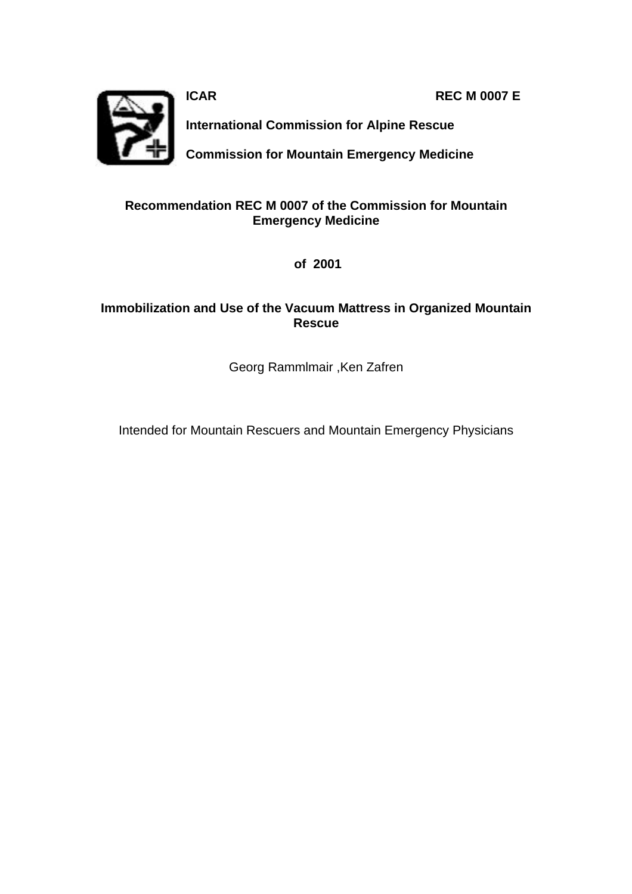**ICAR REC M 0007 E** 



**International Commission for Alpine Rescue**

**Commission for Mountain Emergency Medicine**

#### **Recommendation REC M 0007 of the Commission for Mountain Emergency Medicine**

 **of 2001**

#### **Immobilization and Use of the Vacuum Mattress in Organized Mountain Rescue**

Georg Rammlmair ,Ken Zafren

Intended for Mountain Rescuers and Mountain Emergency Physicians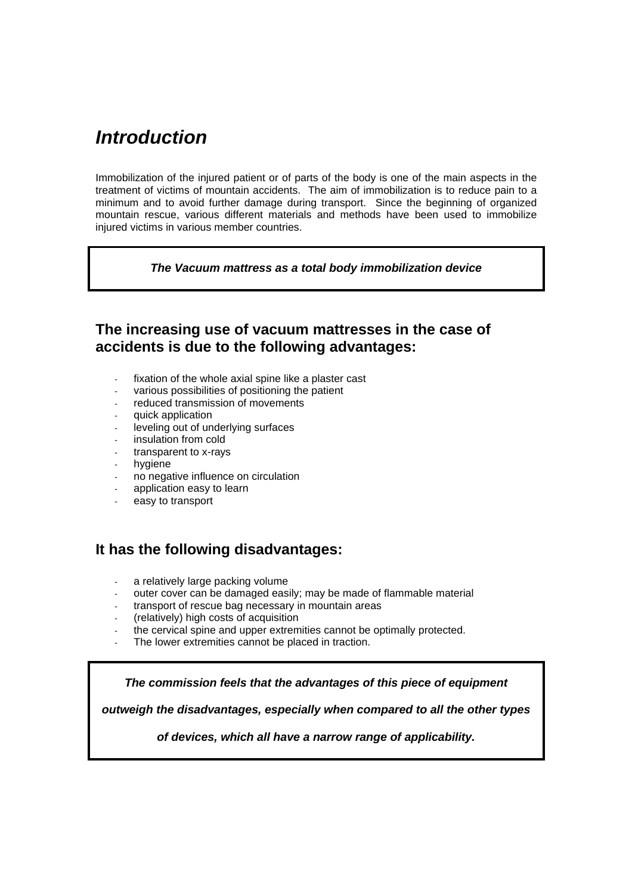# *Introduction*

Immobilization of the injured patient or of parts of the body is one of the main aspects in the treatment of victims of mountain accidents. The aim of immobilization is to reduce pain to a minimum and to avoid further damage during transport. Since the beginning of organized mountain rescue, various different materials and methods have been used to immobilize injured victims in various member countries.

#### *The Vacuum mattress as a total body immobilization device*

### **The increasing use of vacuum mattresses in the case of accidents is due to the following advantages:**

- fixation of the whole axial spine like a plaster cast
- various possibilities of positioning the patient
- reduced transmission of movements
- quick application
- leveling out of underlying surfaces
- insulation from cold
- transparent to x-rays
- hygiene
- no negative influence on circulation
- application easy to learn
- easy to transport

### **It has the following disadvantages:**

- a relatively large packing volume
- outer cover can be damaged easily; may be made of flammable material
- transport of rescue bag necessary in mountain areas
- (relatively) high costs of acquisition
- the cervical spine and upper extremities cannot be optimally protected.
- The lower extremities cannot be placed in traction.

*The commission feels that the advantages of this piece of equipment*

*outweigh the disadvantages, especially when compared to all the other types* 

*of devices, which all have a narrow range of applicability.*